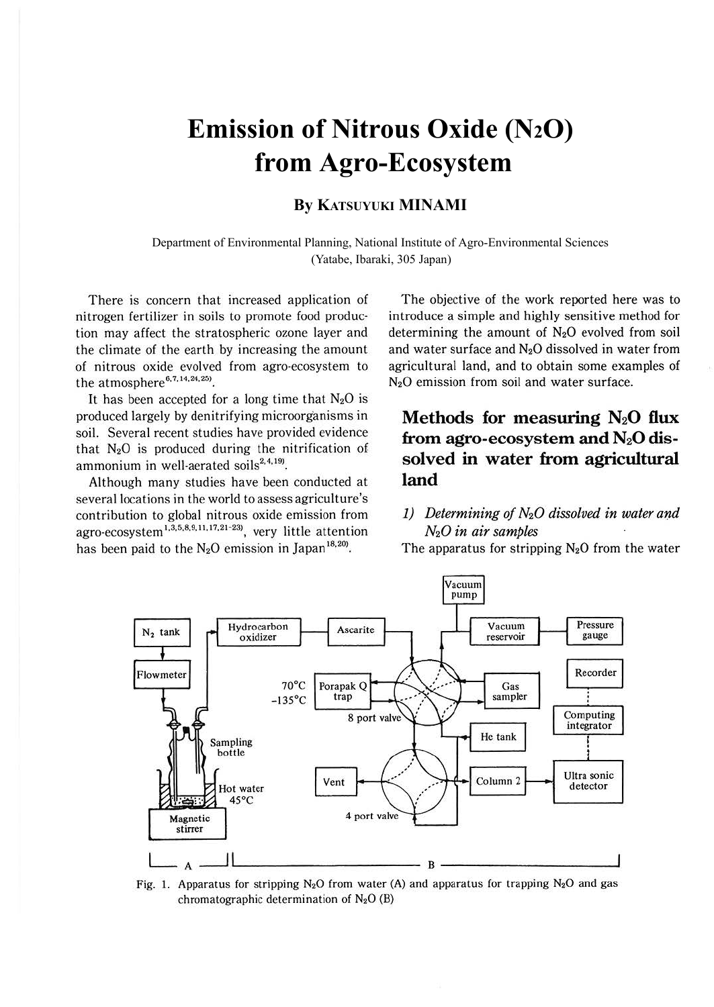# **Emission of Nitrous Oxide (N2O) from Agro-Ecosystem**

## **By KATSUYUKI MINAMI**

Department of Environmental Planning, National Institute of Agro-Environmental Sciences (Yatabe, Ibaraki, 305 Japan)

There is concern that increased application of nitrogen fertilizer in soils to promote food production may affect the stratospheric ozone layer and the climate of the earth by increasing the amount of nitrous oxide evolved from agro-ecosystem to the atmosphere<sup>6,7,14,24,25)</sup>.

It has been accepted for a long time that  $N_2O$  is produced largely by denitrifying microorganisms in soil. Several recent studies have provided evidence that  $N_2O$  is produced during the nitrification of ammonium in well-aerated soils<sup>2,4,199</sup>.

Although many studies have been conducted at several locations in the world to assess agriculture's contribution to global nitrous oxide emission from agro-ecosystem<sup>1,3,5,8,9,11,17,21-23)</sup>, very little attention has been paid to the  $N_2O$  emission in Japan<sup>18,20</sup>.

The objective of the work reported here was to introduce a simple and highly sensitive method for determining the amount of  $N_2O$  evolved from soil and water surface and  $N_2O$  dissolved in water from agricultural land, and to obtain some examples of N20 emission from soil and water surface.

# **Methods for measuring N20 flux from agro-ecosystem and N20 dissolved in water from agricultural land**

1) Determining of  $N_2O$  dissolved in water and *N20 in air samples* 

The apparatus for stripping  $N_2O$  from the water



Fig. 1. Apparatus for stripping N<sub>2</sub>O from water (A) and apparatus for trapping N<sub>2</sub>O and gas chromatographic determination of  $N_2O$  (B)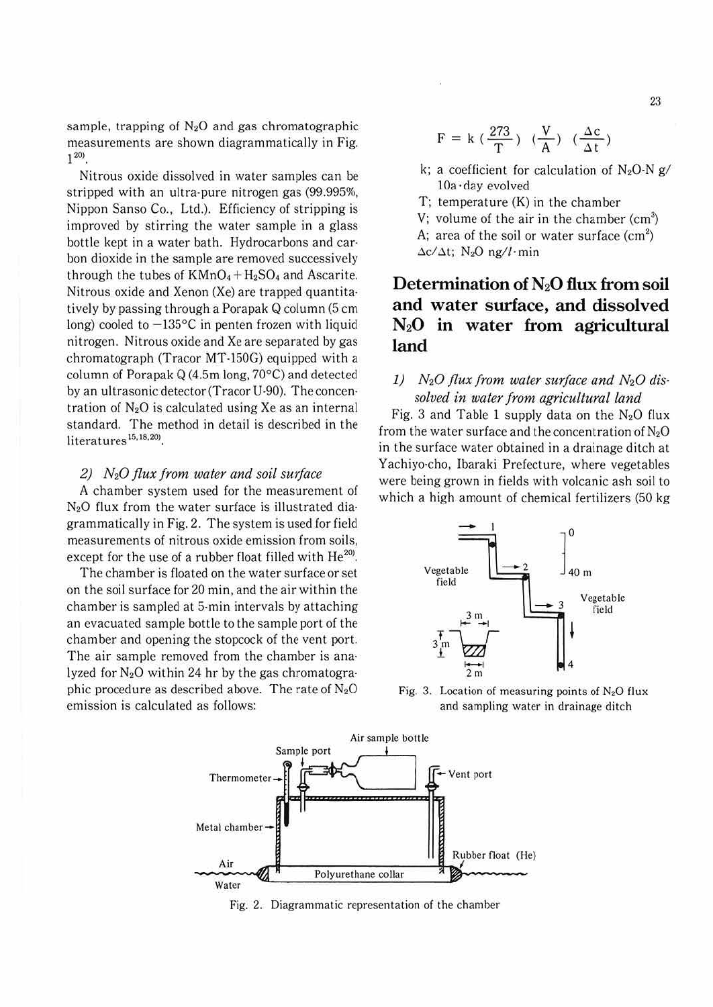sample, trapping of  $N_2O$  and gas chromatographic measurements are shown diagrammalically in Fig.  $1^{20}$ .

Nitrous oxide dissolved in water samples can be stripped with an ultra-pure nitrogen gas (99.995%, Nippon Sanso Co., Ltd.). Efficiency of stripping is improved by stirring the water sample in a glass bottle kept in a water bath. Hydrocarbons and car· bon dioxide in the sample are removed successively through the tubes of  $KMnO_4 + H_2SO_4$  and Ascarite. Nitrous oxide and Xenon (Xe) are trapped quantita· tively by passing through a Porapak Q column (5 cm long) cooled to  $-135$ °C in penten frozen with liquid nitrogen. Nitrous oxide and Xe are separated by gas chromatograph (Tracor MT-150G) equipped with a column of Porapak Q (4.5m long. 70°C) and detected by an ultrasonic detector(Tracor U-90). The concen· tration of  $N_2O$  is calculated using Xe as an internal standard. The method in detail is described in the literatures<sup>15,18,20)</sup>.

#### *2) N20 flux from water and soil surface*

A chamber system used for the measurement of N20 flux from the water surface is illustrated diagrammatically in Fig. 2. The system is used for field measurements of nitrous oxide emission from soils, except for the use of a rubber float filled with  $He^{20}$ .

The chamber is floated on the water surface or set on the soil surface for 20 min. and the air within the chamber is sampled at 5-min intervals by attaching an evacuated sample bottle to the sample port of the chamber and opening the stopcock of the vent port. The air sample removed from the chamber is ana· lyzed for  $N_2O$  within 24 hr by the gas chromatographic procedure as described above. The rate of  $N_2O$ emission is calculated as follows:

$$
F = k \; (\frac{273}{T}) \; (\frac{V}{A}) \; (\frac{\Delta c}{\Delta t})
$$

- k; a coefficient for calculation of  $N_2O-N$  g/ 10a ·day evolved
- T; temperature (K) in the chamber
- V; volume of the air in the chamber  $(cm<sup>3</sup>)$ A; area of the soil or water surface (cm<sup>2</sup>)

 $\Delta c/\Delta t$ ; N<sub>2</sub>O ng/l·min

## Determination of N<sub>2</sub>O flux from soil **and water surface, and dissolved N20 in water from agricultural land**

*1) N20 flux from water surface and N20 dis· solved in water from agricultural land* 

Fig. 3 and Table 1 supply data on the  $N_2O$  flux from the water surface and the concentration of  $N<sub>2</sub>O$ in the surface water obtained in a drainage ditch at Yachiyo-cho, lbaraki Prefecture, where vegetables were being grown in fields with volcanic ash soil to



Fig. 3. Location of measuring points of  $N_2O$  flux and sampling water in drainage ditch



Fig. 2. Diagrammatic representation of the chamber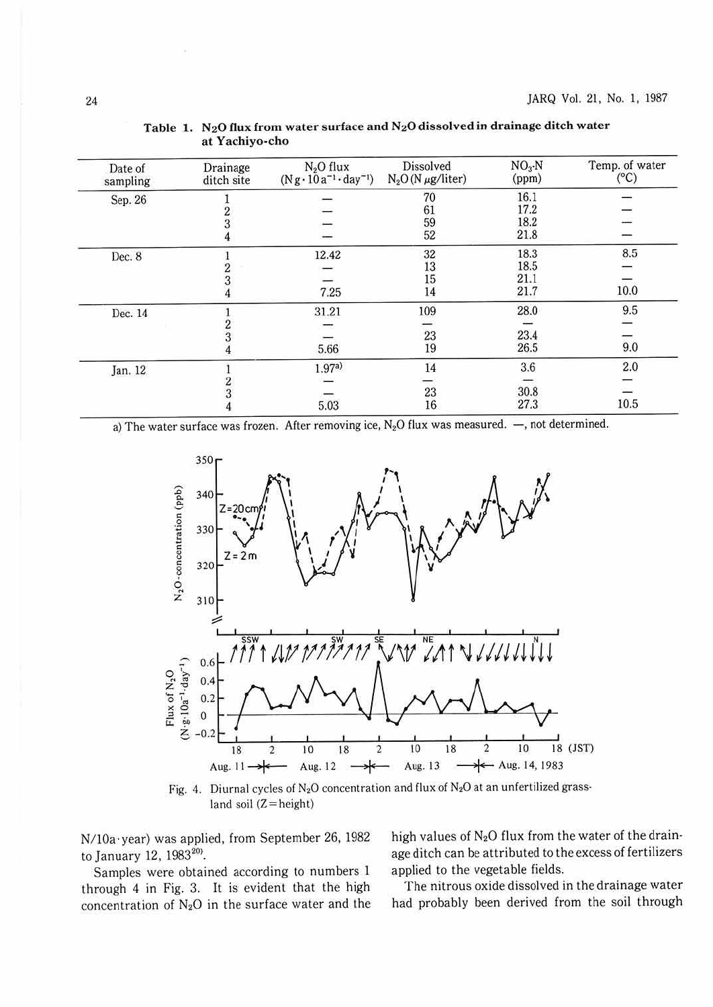| Date of<br>sampling | Drainage<br>ditch site | $N2O$ flux<br>$(Ng \cdot 10a^{-1} \cdot day^{-1})$ | <b>Dissolved</b><br>$N_2O(N \mu g/liter)$ | $NO3$ -N<br>(ppm) | Temp. of water<br>$(^{\circ}C)$ |
|---------------------|------------------------|----------------------------------------------------|-------------------------------------------|-------------------|---------------------------------|
| Sep. 26             |                        |                                                    | 70                                        | 16.1              |                                 |
|                     |                        |                                                    | 61                                        | 17.2              |                                 |
|                     | $\frac{2}{3}$          |                                                    | 59                                        | 18.2              |                                 |
|                     |                        |                                                    | 52                                        | 21.8              |                                 |
| Dec. 8              |                        | 12.42                                              | 32                                        | 18.3              | 8.5                             |
|                     | 2                      |                                                    | 13                                        | 18.5              | $\overline{\phantom{a}}$        |
|                     |                        |                                                    | 15                                        | 21.1              |                                 |
|                     |                        | 7.25                                               | 14                                        | 21.7              | 10.0                            |
| Dec. 14             |                        | 31.21                                              | 109                                       | 28.0              | 9.5                             |
|                     |                        | $\overline{\phantom{a}}$                           |                                           |                   |                                 |
|                     |                        |                                                    | 23                                        | 23.4              |                                 |
|                     |                        | 5.66                                               | 19                                        | 26.5              | 9.0                             |
| Jan. 12             |                        | 1.97a)                                             | 14                                        | 3.6               | 2.0                             |
|                     |                        |                                                    |                                           |                   |                                 |
|                     |                        |                                                    | 23                                        | 30.8              |                                 |
|                     |                        | 5.03                                               | 16                                        | 27.3              | 10.5                            |

Table 1. N<sub>2</sub>O flux from water surface and N<sub>2</sub>O dissolved in drainage ditch water at Yachiyo-cho

a) The water surface was frozen. After removing ice,  $N_2O$  flux was measured.  $-$ , not determined.



Fig. 4. Diurnal cycles of  $N_2O$  concentration and flux of  $N_2O$  at an unfertilized grassland soil  $(Z = height)$ 

N/10a·year) was applied, from September 26, 1982 to January 12, 1983<sup>20)</sup>.

Samples were obtained according to numbers 1 through 4 in Fig. 3. It is evident that the high concentration of  $N_2O$  in the surface water and the high values of  $N_2O$  flux from the water of the drainage ditch can be attributed to the excess of fertilizers applied to the vegetable fields.

The nitrous oxide dissolved in the drainage water had probably been derived from the soil through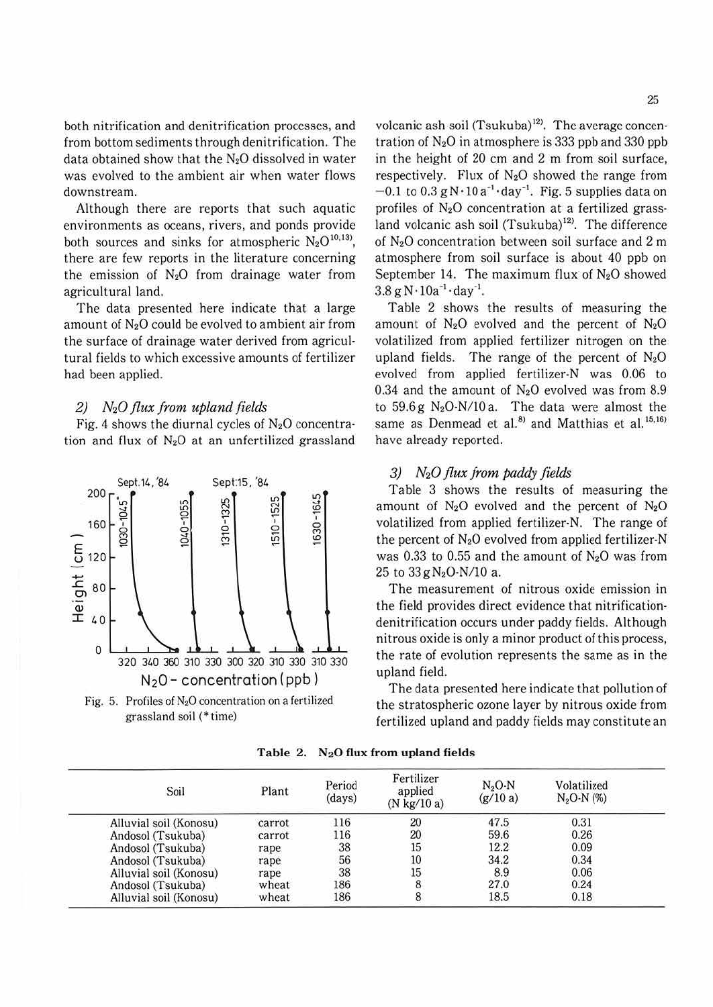both nitrification and denitrification processes, and from bottom sediments through denitrification. The data obtained show that the  $N_2O$  dissolved in water was evolved to the ambient air when water flows downstream.

Although there are reports that such aquatic environments as oceans, rivers, and ponds provide both sources and sinks for atmospheric  $N_2O^{10,13}$ , there are few reports in the literature concerning the emission of  $N_2O$  from drainage water from agricultural land.

The data presented here indicate that a large amount of  $N_2O$  could be evolved to ambient air from the surface of drainage water derived from agricultural fields to which excessive amounts of fertilizer had been applied.

### *2)* N20 *flux from upland fields*

Fig. 4 shows the diurnal cycles of  $N_2O$  concentration and flux of  $N_2O$  at an unfertilized grassland



Fig. 5. Profiles of  $N_2O$  concentration on a fertilized grassland soil(\* time)

volcanic ash soil  $(Tsukuba)^{12}$ . The average concentration of  $N_2O$  in atmosphere is 333 ppb and 330 ppb in the height of 20 cm and 2 m from soil surface, respectively. Flux of  $N_2O$  showed the range from  $-0.1$  to  $0.3$  g N $\cdot$ 10 a<sup>-1</sup> $\cdot$ day<sup>-1</sup>. Fig. 5 supplies data on profiles of N20 concentration at a fertilized grassland volcanic ash soil (Tsukuba)<sup>12)</sup>. The difference of N20 concentration between soil surface and 2 m atmosphere from soil surface is about 40 ppb on September 14. The maximum flux of  $N_2O$  showed  $3.8 g N \cdot 10a^{-1} \cdot day^{-1}$ .

Table 2 shows the results of measuring the amount of  $N_2O$  evolved and the percent of  $N_2O$ volatilized from applied fertilizer nitrogen on the upland fields. The range of the percent of  $N_2O$ evolved from applied fertilizer-N was 0.06 to 0.34 and the amount of  $N_2O$  evolved was from 8.9 to  $59.6 g N<sub>2</sub>O-N/10 a$ . The data were almost the same as Denmead et al.<sup>8)</sup> and Matthias et al.<sup>15,16)</sup> have already reported.

#### 3) N20 *flux from paddy fields*

Table 3 shows the results of measuring the amount of  $N_2O$  evolved and the percent of  $N_2O$ volatilized from applied fertilizer-N. The range of the percent of  $N_2O$  evolved from applied fertilizer-N was 0.33 to 0.55 and the amount of  $N_2O$  was from 25 to  $33 g N_2O-N/10$  a.

The measurement of nitrous oxide emission in the field provides direct evidence that nitrificationdenitrification occurs under paddy fields. Although nitrous oxide is only a minor product of this process, the rate of evolution represents the same as in the upland field.

The data presented here indicate that pollution of the stratospheric ozone layer by nitrous oxide from fertilized upland and paddy fields may constitute an

| Soil                   | Plant  | Period<br>(days) | Fertilizer<br>applied<br>$(N \text{ kg}/10 \text{ a})$ | $N2O-N$<br>(g/10a) | Volatilized<br>$N2O-N$ (%) |
|------------------------|--------|------------------|--------------------------------------------------------|--------------------|----------------------------|
| Alluvial soil (Konosu) | carrot | 116              | 20                                                     | 47.5               | 0.31                       |
| Andosol (Tsukuba)      | carrot | 116              | 20                                                     | 59.6               | 0.26                       |
| Andosol (Tsukuba)      | rape   | 38               | 15                                                     | 12.2               | 0.09                       |
| Andosol (Tsukuba)      | rape   | 56               | 10                                                     | 34.2               | 0.34                       |
| Alluvial soil (Konosu) | rape   | 38               | 15                                                     | 8.9                | 0.06                       |
| Andosol (Tsukuba)      | wheat  | 186              |                                                        | 27.0               | 0.24                       |
| Alluvial soil (Konosu) | wheat  | 186              |                                                        | 18.5               | 0.18                       |

**Table 2. N20 flux from upland fields**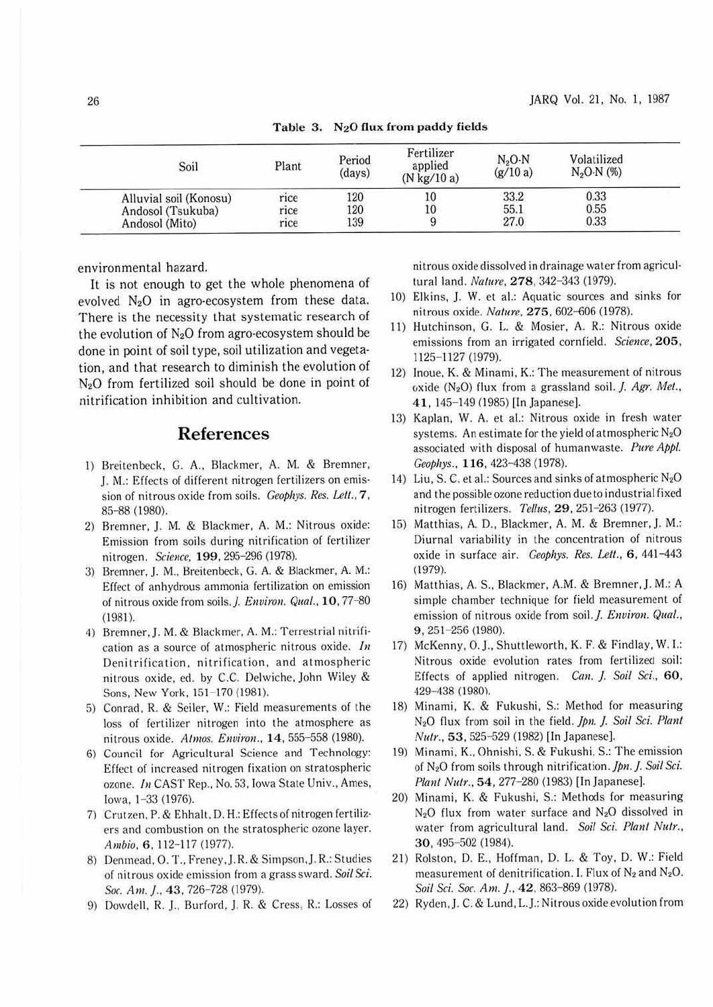| Soil                   | Plant | Period<br>(days) | Fertilizer<br>applied<br>$(N \text{ kg}/10 \text{ a})$ | $N2O-N$<br>(g/10a) | Volatilized<br>$N_2O-N$ (%) |  |
|------------------------|-------|------------------|--------------------------------------------------------|--------------------|-----------------------------|--|
| Alluvial soil (Konosu) | rice  | 120              | 10                                                     | 33.2               | 0.33                        |  |
| Andosol (Tsukuba)      | rice  | 120              | 10                                                     | 55.1               | 0.55                        |  |
| Andosol (Mito)         | rice  | 139              |                                                        | 27.0               | 0.33                        |  |

Table 3.  $N_2O$  flux from paddy fields

environmental hazard.

It is not enough to get the whole phenomena of evolved  $N_2O$  in agro-ecosystem from these data. There is the necessity that systematic research of the evolution of  $N_2O$  from agro-ecosystem should be done in point of soil type, soil utilization and vegeta· tion, and that research to diminish the evolution of N20 from fertilized soil should be done in point of nitrification inhibition and cultivation.

## **References**

- I) Breitenbeck, G. A., Blackmer, A. M. & Bremner, J. M.: Effects of different nitrogen fertilizers on emission of nitrous oxide from soils. *Geophys. Res. Lett.*, 7, 85-88 (1980).
- 2) Bremner, J. M. & Blackmer. A. M.: Nitrous oxide: Emission from soils during nitrification of fertilizer nitrogen. *Science,* **199,** 295-296 (1978).
- 3) Bremner, J. M., Breitenbeck, G. A. & Blackmer, A. M.: Effect of anhydrous ammonia fertilization on emission of nitrous oxide from soils. *J. Environ. Qual.*, 10, 77-80 (1981).
- 4) Bremner,J. M. & Blackmer. A. M.: Terrestrial nitrification as a source of atmospheric nitrous oxide. *In*  Denitrification. nitrification, and atmospheric nitrous oxide, ed. by C.C. Delwiche, John Wiley & Sons, New York, 151-170 (1981).
- 5) Conrad. R. & Seiler, W.: Field measurements of the loss of fertilizer nitrogen into the atmosphere as nitrous oxide. *Almos. Environ.,* **14 ,** 555-558 (1980).
- 6) Council for Agricultural Science and Technology: Effect of increased nitrogen fixation on stratospheric ozone. In CAST Rep., No. 53. Iowa State Univ., Ames, Iowa, 1-33 (1976).
- 7) Crutzen, P. & Ehhalt. D. H.: Effects of nitrogen fertilizers and combustion on the stratospheric ozone layer. Ambio. 6, 112-117 (1977).
- 8) Denmead, O. T., Freney, J. R. & Simpson, J. R.: Studies of nitrous oxide emission from a grass sward. *Soil Sci.*  Soc. Am. J., 43, 726-728 (1979).
- 9) Dowdell, R. J., Burford, J. R. & Cress, R.: Losses of

nitrous oxide dissolved in drainage water from agricul· tural land. *Nature,* **278,** 342-343 (1979).

- IO) Elkins, J. W. et al.: Aquatic sources and sinks for nitrous oxide. *Nature.* **275,** 602-606 (1978).
- 11) Hutchinson, G. L. & Mosier, A. R.: Nitrous oxide emissions from an irrigated cornfield. *Science,* **205,**  1125-1127 (1979).
- 12) Inoue, K. & Minami, K.: The measurement of nitrous oxide (N<sub>2</sub>O) flux from a grassland soil. *J. Agr. Met.*, 41, 145-149 (1985) [In Japanese].
- 13) Kaplan, W. A. et al.: Nitrous oxide in fresh water systems. An estimate for the yield of atmospheric  $N_2O$ associated with disposal of humanwaste. *Pure Appl. Ceophys.,* **116,** 423-438 (1978).
- 14) Liu, S. C. et al.: Sources and sinks of atmospheric  $N_2O$ and the possible ozone reduction due to industrial fixed nitrogen fertilizers. *Tellus*, 29, 251-263 (1977).
- 15) Matthias, A. D., Blackmer, A. M. & Bremner, J. M.: Diurnal variability in the concentration of nitrous oxide in surface air. *Geophys. Res. Lett.*, 6, 441-443 (1979).
- 16) Matthias, A. S., Blackmer, A.M. & Bremner,]. M.: A simple chamber technique for field measurement of emission of nitrous oxide from soil. *J. Environ. Qual.*, 9 , 251-256 (1980).
- 17) McKenny, 0. J., Shuttleworth, K. F. & Findlay, W. I.: Nitrous oxide evolution rates from fertilized soil: Effects of applied nitrogen. *Can. }. Soil Sci.,* 60, 429-438 (1980).
- 18) Minami, K. & Fukushi, S.: Method for measuring N20 flux from soil in the field. *Jpn.* f. *Soil Sci. Plant Nutr.,* **53.** 525-529 (1982) [In Japanese).
- 19) Minami, K., Ohnishi, S. & Fukushi, S.: The emission of N20 from soils through nitrification . *Jpn.* f. *Soil Sci. Plan/ Nu/r.,* **54,** 277-280 (1983) [In Japanese].
- 20) Minami, K. & Fukushi, S.: Methods for measuring  $N_2O$  flux from water surface and  $N_2O$  dissolved in water from agricultural land. Soil Sci. Plant Nutr., **30,** 495-502 (1984).
- 21) Rolston, D. E., Hoffman, D. L. & Toy, D. W.: Field measurement of denitrification. I. Flux of  $N_2$  and  $N_2O$ . *Soil Sci. Soc. Am.} ..* **42.** 863-869 (1978).
- 22) Ryden,]. C. & Lund, L.J.: Nitrous oxide evolution from